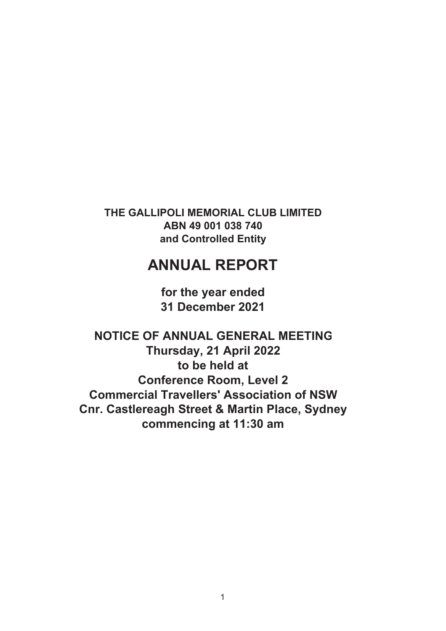**THE GALLIPOLI MEMORIAL CLUB LIMITED ABN 49 001 038 740 and Controlled Entity**

# **ANNUAL REPORT**

**for the year ended 31 December 2021**

**NOTICE OF ANNUAL GENERAL MEETING Thursday, 21 April 2022 to be held at Conference Room, Level 2 Commercial Travellers' Association of NSW Cnr. Castlereagh Street & Martin Place, Sydney commencing at 11:30 am**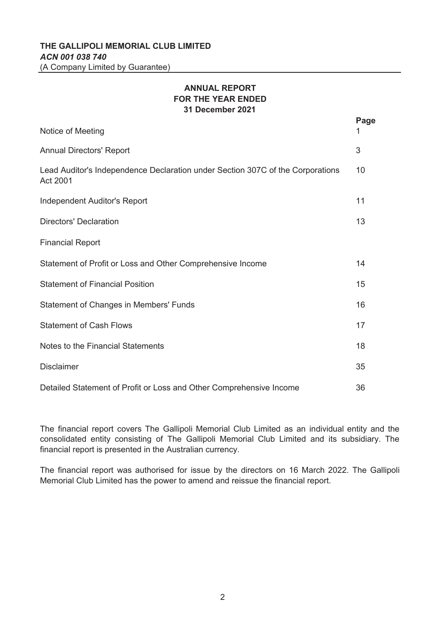# **THE GALLIPOLI MEMORIAL CLUB LIMITED** *ACN 001 038 740* (A Company Limited by Guarantee)

# **ANNUAL REPORT FOR THE YEAR ENDED 31 December 2021**

|                                                                                            | Page |
|--------------------------------------------------------------------------------------------|------|
| Notice of Meeting                                                                          |      |
| <b>Annual Directors' Report</b>                                                            | 3    |
| Lead Auditor's Independence Declaration under Section 307C of the Corporations<br>Act 2001 | 10   |
| <b>Independent Auditor's Report</b>                                                        | 11   |
| <b>Directors' Declaration</b>                                                              | 13   |
| <b>Financial Report</b>                                                                    |      |
| Statement of Profit or Loss and Other Comprehensive Income                                 | 14   |
| <b>Statement of Financial Position</b>                                                     | 15   |
| <b>Statement of Changes in Members' Funds</b>                                              | 16   |
| <b>Statement of Cash Flows</b>                                                             | 17   |
| Notes to the Financial Statements                                                          | 18   |
| <b>Disclaimer</b>                                                                          | 35   |
| Detailed Statement of Profit or Loss and Other Comprehensive Income                        | 36   |

The financial report covers The Gallipoli Memorial Club Limited as an individual entity and the consolidated entity consisting of The Gallipoli Memorial Club Limited and its subsidiary. The financial report is presented in the Australian currency.

The financial report was authorised for issue by the directors on 16 March 2022. The Gallipoli Memorial Club Limited has the power to amend and reissue the financial report.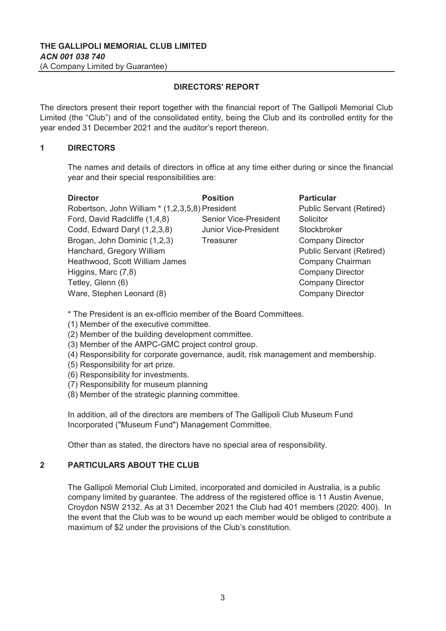The directors present their report together with the financial report of The Gallipoli Memorial Club Limited (the "Club") and of the consolidated entity, being the Club and its controlled entity for the year ended 31 December 2021 and the auditor's report thereon.

## **1 DIRECTORS**

The names and details of directors in office at any time either during or since the financial year and their special responsibilities are:

| <b>Director</b>                                 | <b>Position</b>              | <b>Particular</b>               |
|-------------------------------------------------|------------------------------|---------------------------------|
| Robertson, John William * (1,2,3,5,8) President |                              | <b>Public Servant (Retired)</b> |
| Ford, David Radcliffe (1,4,8)                   | <b>Senior Vice-President</b> | Solicitor                       |
| Codd, Edward Daryl (1,2,3,8)                    | Junior Vice-President        | Stockbroker                     |
| Brogan, John Dominic (1,2,3)                    | <b>Treasurer</b>             | <b>Company Director</b>         |
| Hanchard, Gregory William                       |                              | <b>Public Servant (Retired)</b> |
| Heathwood, Scott William James                  |                              | Company Chairman                |
| Higgins, Marc (7,8)                             |                              | <b>Company Director</b>         |
| Tetley, Glenn (6)                               |                              | <b>Company Director</b>         |
| Ware, Stephen Leonard (8)                       |                              | <b>Company Director</b>         |

\* The President is an ex-officio member of the Board Committees.

- (1) Member of the executive committee.
- (2) Member of the building development committee.
- (3) Member of the AMPC-GMC project control group.
- (4) Responsibility for corporate governance, audit, risk management and membership.
- (5) Responsibility for art prize.
- (6) Responsibility for investments.
- (7) Responsibility for museum planning
- (8) Member of the strategic planning committee.

In addition, all of the directors are members of The Gallipoli Club Museum Fund Incorporated ("Museum Fund") Management Committee.

Other than as stated, the directors have no special area of responsibility.

# **2 PARTICULARS ABOUT THE CLUB**

The Gallipoli Memorial Club Limited, incorporated and domiciled in Australia, is a public company limited by guarantee. The address of the registered office is 11 Austin Avenue, Croydon NSW 2132. As at 31 December 2021 the Club had 401 members (2020: 400). In the event that the Club was to be wound up each member would be obliged to contribute a maximum of \$2 under the provisions of the Club's constitution.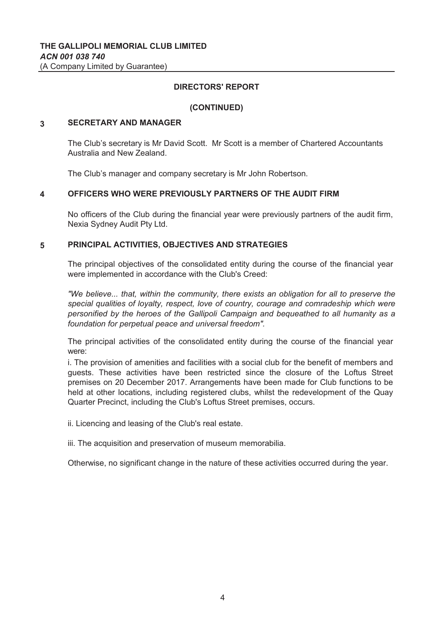# **(CONTINUED)**

#### **3 SECRETARY AND MANAGER**

The Club's secretary is Mr David Scott. Mr Scott is a member of Chartered Accountants Australia and New Zealand.

The Club's manager and company secretary is Mr John Robertson.

#### **4 OFFICERS WHO WERE PREVIOUSLY PARTNERS OF THE AUDIT FIRM**

No officers of the Club during the financial year were previously partners of the audit firm, Nexia Sydney Audit Pty Ltd.

#### **5 PRINCIPAL ACTIVITIES, OBJECTIVES AND STRATEGIES**

The principal objectives of the consolidated entity during the course of the financial year were implemented in accordance with the Club's Creed:

*"We believe... that, within the community, there exists an obligation for all to preserve the special qualities of loyalty, respect, love of country, courage and comradeship which were personified by the heroes of the Gallipoli Campaign and bequeathed to all humanity as a foundation for perpetual peace and universal freedom".*

The principal activities of the consolidated entity during the course of the financial year were:

i. The provision of amenities and facilities with a social club for the benefit of members and guests. These activities have been restricted since the closure of the Loftus Street premises on 20 December 2017. Arrangements have been made for Club functions to be held at other locations, including registered clubs, whilst the redevelopment of the Quay Quarter Precinct, including the Club's Loftus Street premises, occurs.

ii. Licencing and leasing of the Club's real estate.

iii. The acquisition and preservation of museum memorabilia.

Otherwise, no significant change in the nature of these activities occurred during the year.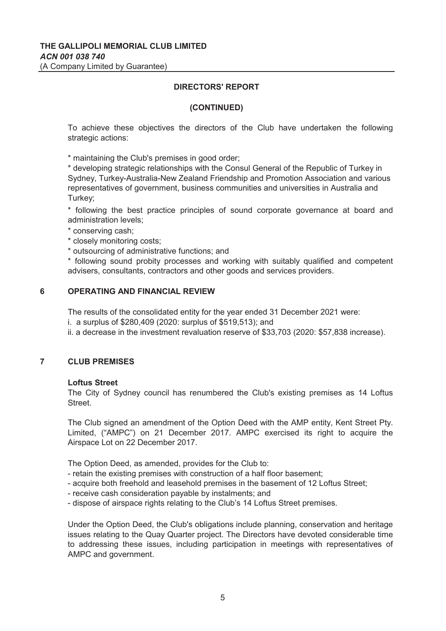#### **(CONTINUED)**

To achieve these objectives the directors of the Club have undertaken the following strategic actions:

\* maintaining the Club's premises in good order;

\* developing strategic relationships with the Consul General of the Republic of Turkey in Sydney, Turkey-Australia-New Zealand Friendship and Promotion Association and various representatives of government, business communities and universities in Australia and Turkey;

\* following the best practice principles of sound corporate governance at board and administration levels;

\* conserving cash;

\* closely monitoring costs;

\* outsourcing of administrative functions; and

\* following sound probity processes and working with suitably qualified and competent advisers, consultants, contractors and other goods and services providers.

### **6 OPERATING AND FINANCIAL REVIEW**

The results of the consolidated entity for the year ended 31 December 2021 were:

i. a surplus of \$280,409 (2020: surplus of \$519,513); and

ii. a decrease in the investment revaluation reserve of \$33,703 (2020: \$57,838 increase).

### **7 CLUB PREMISES**

#### **Loftus Street**

The City of Sydney council has renumbered the Club's existing premises as 14 Loftus Street.

The Club signed an amendment of the Option Deed with the AMP entity, Kent Street Pty. Limited, ("AMPC") on 21 December 2017. AMPC exercised its right to acquire the Airspace Lot on 22 December 2017.

The Option Deed, as amended, provides for the Club to:

- retain the existing premises with construction of a half floor basement;
- acquire both freehold and leasehold premises in the basement of 12 Loftus Street;
- receive cash consideration payable by instalments; and
- dispose of airspace rights relating to the Club's 14 Loftus Street premises.

Under the Option Deed, the Club's obligations include planning, conservation and heritage issues relating to the Quay Quarter project. The Directors have devoted considerable time to addressing these issues, including participation in meetings with representatives of AMPC and government.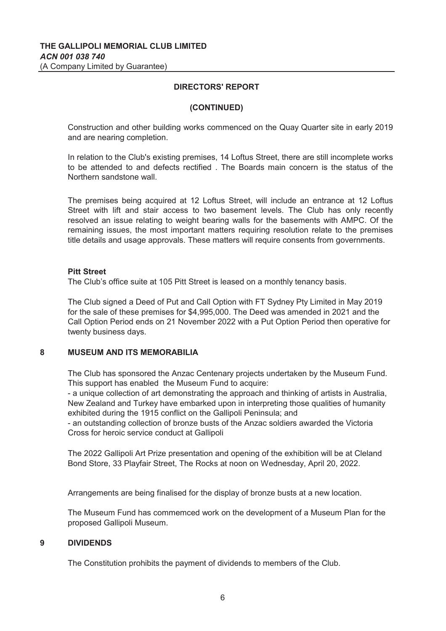### **(CONTINUED)**

Construction and other building works commenced on the Quay Quarter site in early 2019 and are nearing completion.

In relation to the Club's existing premises, 14 Loftus Street, there are still incomplete works to be attended to and defects rectified . The Boards main concern is the status of the Northern sandstone wall.

The premises being acquired at 12 Loftus Street, will include an entrance at 12 Loftus Street with lift and stair access to two basement levels. The Club has only recently resolved an issue relating to weight bearing walls for the basements with AMPC. Of the remaining issues, the most important matters requiring resolution relate to the premises title details and usage approvals. These matters will require consents from governments.

### **Pitt Street**

The Club's office suite at 105 Pitt Street is leased on a monthly tenancy basis.

The Club signed a Deed of Put and Call Option with FT Sydney Pty Limited in May 2019 for the sale of these premises for \$4,995,000. The Deed was amended in 2021 and the Call Option Period ends on 21 November 2022 with a Put Option Period then operative for twenty business days.

#### **8 MUSEUM AND ITS MEMORABILIA**

The Club has sponsored the Anzac Centenary projects undertaken by the Museum Fund. This support has enabled the Museum Fund to acquire:

- a unique collection of art demonstrating the approach and thinking of artists in Australia, New Zealand and Turkey have embarked upon in interpreting those qualities of humanity exhibited during the 1915 conflict on the Gallipoli Peninsula; and

- an outstanding collection of bronze busts of the Anzac soldiers awarded the Victoria Cross for heroic service conduct at Gallipoli

The 2022 Gallipoli Art Prize presentation and opening of the exhibition will be at Cleland Bond Store, 33 Playfair Street, The Rocks at noon on Wednesday, April 20, 2022.

Arrangements are being finalised for the display of bronze busts at a new location.

The Museum Fund has commemced work on the development of a Museum Plan for the proposed Gallipoli Museum.

## **9 DIVIDENDS**

The Constitution prohibits the payment of dividends to members of the Club.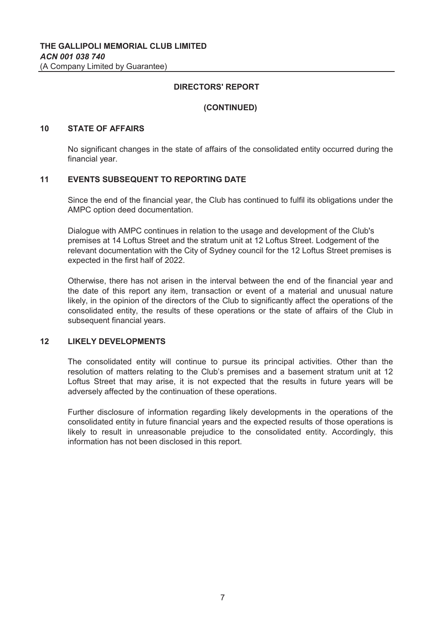### **(CONTINUED)**

### **10 STATE OF AFFAIRS**

No significant changes in the state of affairs of the consolidated entity occurred during the financial year.

#### **11 EVENTS SUBSEQUENT TO REPORTING DATE**

Since the end of the financial year, the Club has continued to fulfil its obligations under the AMPC option deed documentation.

Dialogue with AMPC continues in relation to the usage and development of the Club's premises at 14 Loftus Street and the stratum unit at 12 Loftus Street. Lodgement of the relevant documentation with the City of Sydney council for the 12 Loftus Street premises is expected in the first half of 2022.

Otherwise, there has not arisen in the interval between the end of the financial year and the date of this report any item, transaction or event of a material and unusual nature likely, in the opinion of the directors of the Club to significantly affect the operations of the consolidated entity, the results of these operations or the state of affairs of the Club in subsequent financial years.

### **12 LIKELY DEVELOPMENTS**

The consolidated entity will continue to pursue its principal activities. Other than the resolution of matters relating to the Club's premises and a basement stratum unit at 12 Loftus Street that may arise, it is not expected that the results in future years will be adversely affected by the continuation of these operations.

Further disclosure of information regarding likely developments in the operations of the consolidated entity in future financial years and the expected results of those operations is likely to result in unreasonable prejudice to the consolidated entity. Accordingly, this information has not been disclosed in this report.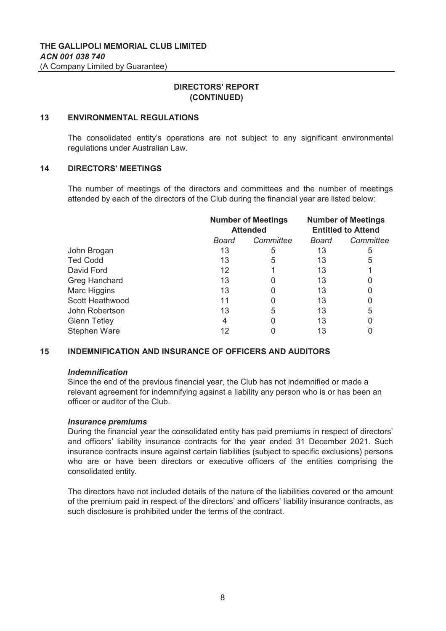# **DIRECTORS' REPORT (CONTINUED)**

#### **13 ENVIRONMENTAL REGULATIONS**

The consolidated entity's operations are not subject to any significant environmental regulations under Australian Law.

#### **14 DIRECTORS' MEETINGS**

The number of meetings of the directors and committees and the number of meetings attended by each of the directors of the Club during the financial year are listed below:

|                        | <b>Number of Meetings</b><br><b>Attended</b> |           |       | <b>Number of Meetings</b><br><b>Entitled to Attend</b> |
|------------------------|----------------------------------------------|-----------|-------|--------------------------------------------------------|
|                        | Board                                        | Committee | Board | Committee                                              |
| John Brogan            | 13                                           | 5         | 13    | 5                                                      |
| <b>Ted Codd</b>        | 13                                           | 5         | 13    | 5                                                      |
| David Ford             | 12                                           |           | 13    |                                                        |
| Greg Hanchard          | 13                                           |           | 13    | 0                                                      |
| Marc Higgins           | 13                                           |           | 13    | 0                                                      |
| <b>Scott Heathwood</b> | 11                                           |           | 13    | 0                                                      |
| John Robertson         | 13                                           | 5         | 13    | 5                                                      |
| <b>Glenn Tetley</b>    | 4                                            |           | 13    | 0                                                      |
| <b>Stephen Ware</b>    | 12                                           |           | 13    |                                                        |

#### **15 INDEMNIFICATION AND INSURANCE OF OFFICERS AND AUDITORS**

### *Indemnification*

Since the end of the previous financial year, the Club has not indemnified or made a relevant agreement for indemnifying against a liability any person who is or has been an officer or auditor of the Club.

### *Insurance premiums*

During the financial year the consolidated entity has paid premiums in respect of directors' and officers' liability insurance contracts for the year ended 31 December 2021. Such insurance contracts insure against certain liabilities (subject to specific exclusions) persons who are or have been directors or executive officers of the entities comprising the consolidated entity.

The directors have not included details of the nature of the liabilities covered or the amount of the premium paid in respect of the directors' and officers' liability insurance contracts, as such disclosure is prohibited under the terms of the contract.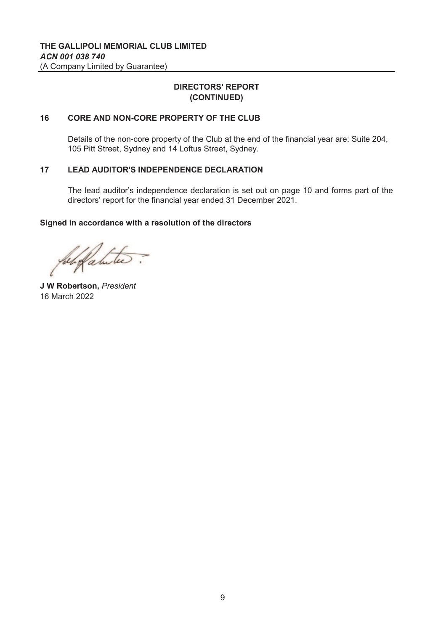# **DIRECTORS' REPORT (CONTINUED)**

#### **16 CORE AND NON-CORE PROPERTY OF THE CLUB**

Details of the non-core property of the Club at the end of the financial year are: Suite 204, 105 Pitt Street, Sydney and 14 Loftus Street, Sydney.

#### **17 LEAD AUDITOR'S INDEPENDENCE DECLARATION**

The lead auditor's independence declaration is set out on page 10 and forms part of the directors' report for the financial year ended 31 December 2021.

### **Signed in accordance with a resolution of the directors**

beli fabitu

**J W Robertson,** *President* 16 March 2022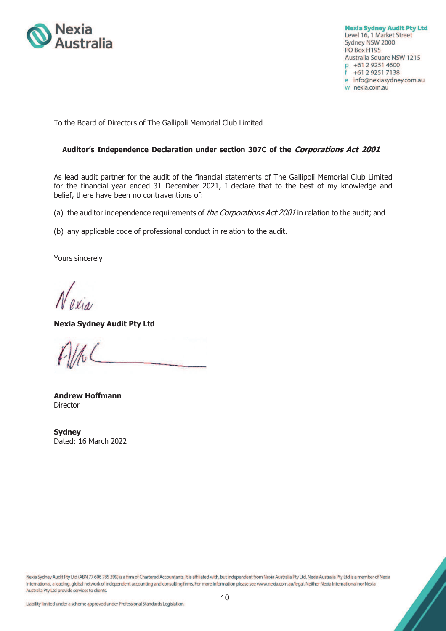

**Nexia Sydney Audit Pty Ltd** Level 16, 1 Market Street Sydney NSW 2000 PO Box H195 Australia Square NSW 1215 p +61 2 9251 4600 f +61 2 9251 7138 e info@nexiasydney.com.au w nexia.com.au

To the Board of Directors of The Gallipoli Memorial Club Limited

### **Auditor's Independence Declaration under section 307C of the Corporations Act 2001**

As lead audit partner for the audit of the financial statements of The Gallipoli Memorial Club Limited for the financial year ended 31 December 2021, I declare that to the best of my knowledge and belief, there have been no contraventions of:

(a) the auditor independence requirements of the Corporations Act 2001 in relation to the audit; and

(b) any applicable code of professional conduct in relation to the audit.

Yours sincerely

**Nexia Sydney Audit Pty Ltd** 

**Andrew Hoffmann Director** 

**Sydney**  Dated: 16 March 2022

Nexia Sydney Audit Pty Ltd (ABN 77 606 785 399) is a firm of Chartered Accountants. It is affiliated with, but independent from Nexia Australia Pty Ltd. Nexia Australia Pty Ltd is a member of Nexia International, a leading, global network of independent accounting and consulting firms. For more information please see www.nexia.com.au/legal. Neither Nexia International nor Nexia Australia Pty Ltd provide services to clients.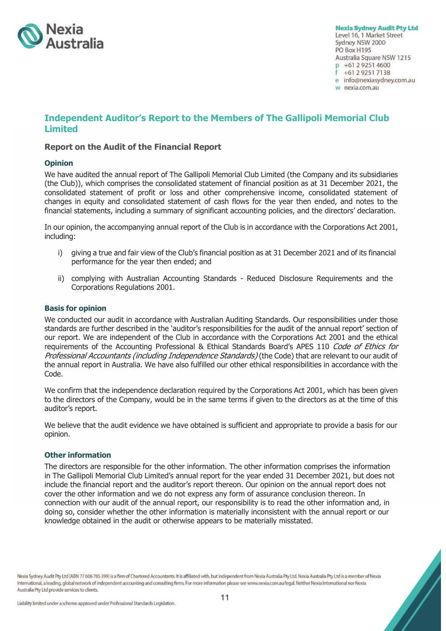

**Nexia Sydney Audit Pty Ltd** Level 16, 1 Market Street Sydney NSW 2000 PO Box H195 Australia Square NSW 1215 p +61 2 9251 4600 +61 2 9251 7138 e info@nexiasydney.com.au w nexia.com.au

# **Independent Auditor's Report to the Members of The Gallipoli Memorial Club Limited**

### **Report on the Audit of the Financial Report**

#### **Opinion**

We have audited the annual report of The Gallipoli Memorial Club Limited (the Company and its subsidiaries (the Club)), which comprises the consolidated statement of financial position as at 31 December 2021, the consolidated statement of profit or loss and other comprehensive income, consolidated statement of changes in equity and consolidated statement of cash flows for the year then ended, and notes to the financial statements, including a summary of significant accounting policies, and the directors' declaration.

In our opinion, the accompanying annual report of the Club is in accordance with the Corporations Act 2001, including:

- i) giving a true and fair view of the Club's financial position as at 31 December 2021 and of its financial performance for the year then ended; and
- ii) complying with Australian Accounting Standards Reduced Disclosure Requirements and the Corporations Regulations 2001.

#### **Basis for opinion**

We conducted our audit in accordance with Australian Auditing Standards. Our responsibilities under those standards are further described in the 'auditor's responsibilities for the audit of the annual report' section of our report. We are independent of the Club in accordance with the Corporations Act 2001 and the ethical requirements of the Accounting Professional & Ethical Standards Board's APES 110 Code of Ethics for Professional Accountants (including Independence Standards) (the Code) that are relevant to our audit of the annual report in Australia. We have also fulfilled our other ethical responsibilities in accordance with the Code.

We confirm that the independence declaration required by the Corporations Act 2001, which has been given to the directors of the Company, would be in the same terms if given to the directors as at the time of this auditor's report.

We believe that the audit evidence we have obtained is sufficient and appropriate to provide a basis for our opinion.

#### **Other information**

The directors are responsible for the other information. The other information comprises the information in The Gallipoli Memorial Club Limited's annual report for the year ended 31 December 2021, but does not include the financial report and the auditor's report thereon. Our opinion on the annual report does not cover the other information and we do not express any form of assurance conclusion thereon. In connection with our audit of the annual report, our responsibility is to read the other information and, in doing so, consider whether the other information is materially inconsistent with the annual report or our knowledge obtained in the audit or otherwise appears to be materially misstated.

Nexia Sydney Audit Pty Ltd (ABN 77 606 785 399) is a firm of Chartered Accountants. It is affiliated with, but independent from Nexia Australia Pty Ltd. Nexia Australia Pty Ltd is a member of Nexia International, a leading, global network of independent accounting and consulting firms. For more information please see www.nexia.com.au/legal. Neither Nexia International nor Nexia Australia Pty Ltd provide services to clients.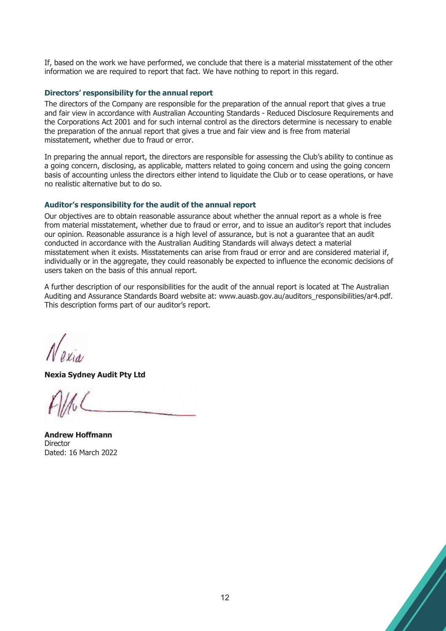If, based on the work we have performed, we conclude that there is a material misstatement of the other information we are required to report that fact. We have nothing to report in this regard.

### **Directors' responsibility for the annual report**

The directors of the Company are responsible for the preparation of the annual report that gives a true and fair view in accordance with Australian Accounting Standards - Reduced Disclosure Requirements and the Corporations Act 2001 and for such internal control as the directors determine is necessary to enable the preparation of the annual report that gives a true and fair view and is free from material misstatement, whether due to fraud or error.

In preparing the annual report, the directors are responsible for assessing the Club's ability to continue as a going concern, disclosing, as applicable, matters related to going concern and using the going concern basis of accounting unless the directors either intend to liquidate the Club or to cease operations, or have no realistic alternative but to do so.

## **Auditor's responsibility for the audit of the annual report**

Our objectives are to obtain reasonable assurance about whether the annual report as a whole is free from material misstatement, whether due to fraud or error, and to issue an auditor's report that includes our opinion. Reasonable assurance is a high level of assurance, but is not a guarantee that an audit conducted in accordance with the Australian Auditing Standards will always detect a material misstatement when it exists. Misstatements can arise from fraud or error and are considered material if, individually or in the aggregate, they could reasonably be expected to influence the economic decisions of users taken on the basis of this annual report.

A further description of our responsibilities for the audit of the annual report is located at The Australian Auditing and Assurance Standards Board website at: www.auasb.gov.au/auditors\_responsibilities/ar4.pdf. This description forms part of our auditor's report.

**Nexia Sydney Audit Pty Ltd** 

**Andrew Hoffmann Director** Dated: 16 March 2022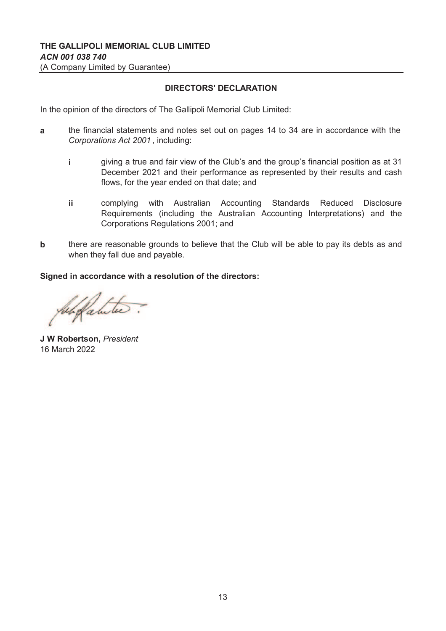# **DIRECTORS' DECLARATION**

In the opinion of the directors of The Gallipoli Memorial Club Limited:

- **a** the financial statements and notes set out on pages 14 to 34 are in accordance with the *Corporations Act 2001* , including:
	- **i** giving a true and fair view of the Club's and the group's financial position as at 31 December 2021 and their performance as represented by their results and cash flows, for the year ended on that date; and
	- **ii** complying with Australian Accounting Standards Reduced Disclosure Requirements (including the Australian Accounting Interpretations) and the Corporations Regulations 2001; and
- **b** there are reasonable grounds to believe that the Club will be able to pay its debts as and when they fall due and payable.

### **Signed in accordance with a resolution of the directors:**

Subgalitie

**J W Robertson,** *President* 16 March 2022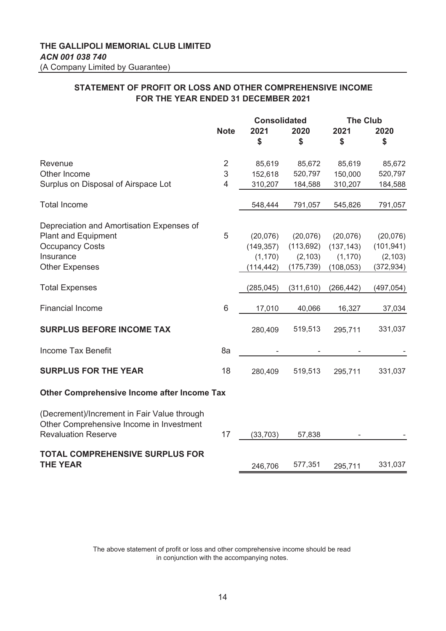# **STATEMENT OF PROFIT OR LOSS AND OTHER COMPREHENSIVE INCOME FOR THE YEAR ENDED 31 DECEMBER 2021**

|                                                                                                                       |                 | <b>Consolidated</b> |            | <b>The Club</b> |            |
|-----------------------------------------------------------------------------------------------------------------------|-----------------|---------------------|------------|-----------------|------------|
|                                                                                                                       | <b>Note</b>     | 2021                | 2020       | 2021            | 2020       |
|                                                                                                                       |                 | \$                  | \$         | \$              | \$         |
| Revenue                                                                                                               | $\overline{2}$  | 85,619              | 85,672     | 85,619          | 85,672     |
| Other Income                                                                                                          | 3               | 152,618             | 520,797    | 150,000         | 520,797    |
| Surplus on Disposal of Airspace Lot                                                                                   | $\overline{4}$  | 310,207             | 184,588    | 310,207         | 184,588    |
| <b>Total Income</b>                                                                                                   |                 | 548,444             | 791,057    | 545,826         | 791,057    |
| Depreciation and Amortisation Expenses of                                                                             |                 |                     |            |                 |            |
| <b>Plant and Equipment</b>                                                                                            | 5               | (20,076)            | (20,076)   | (20,076)        | (20,076)   |
| <b>Occupancy Costs</b>                                                                                                |                 | (149, 357)          | (113, 692) | (137, 143)      | (101, 941) |
| Insurance                                                                                                             |                 | (1, 170)            | (2, 103)   | (1, 170)        | (2, 103)   |
| <b>Other Expenses</b>                                                                                                 |                 | (114, 442)          | (175, 739) | (108, 053)      | (372, 934) |
| <b>Total Expenses</b>                                                                                                 |                 | (285, 045)          | (311, 610) | (266, 442)      | (497, 054) |
| <b>Financial Income</b>                                                                                               | $6\phantom{1}6$ | 17,010              | 40,066     | 16,327          | 37,034     |
| <b>SURPLUS BEFORE INCOME TAX</b>                                                                                      |                 | 280,409             | 519,513    | 295,711         | 331,037    |
| Income Tax Benefit                                                                                                    | 8a              |                     |            |                 |            |
| <b>SURPLUS FOR THE YEAR</b>                                                                                           | 18              | 280,409             | 519,513    | 295,711         | 331,037    |
| <b>Other Comprehensive Income after Income Tax</b>                                                                    |                 |                     |            |                 |            |
| (Decrement)/Increment in Fair Value through<br>Other Comprehensive Income in Investment<br><b>Revaluation Reserve</b> | 17              | (33, 703)           | 57,838     |                 |            |
| <b>TOTAL COMPREHENSIVE SURPLUS FOR</b><br><b>THE YEAR</b>                                                             |                 | 246,706             | 577,351    | 295,711         | 331,037    |
|                                                                                                                       |                 |                     |            |                 |            |

The above statement of profit or loss and other comprehensive income should be read in conjunction with the accompanying notes.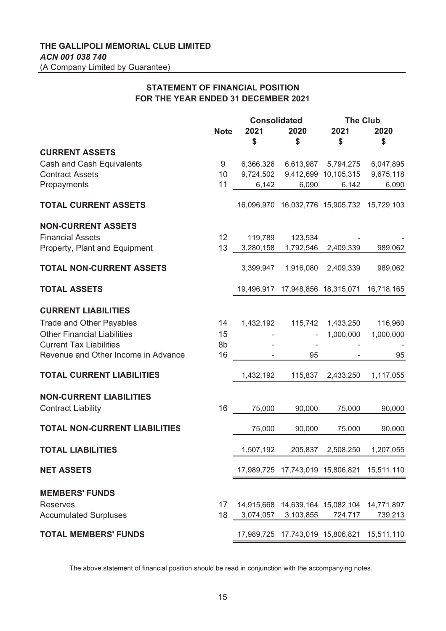# **STATEMENT OF FINANCIAL POSITION FOR THE YEAR ENDED 31 DECEMBER 2021**

|                                      |             | <b>Consolidated</b> |                     | <b>The Club</b>                             |            |
|--------------------------------------|-------------|---------------------|---------------------|---------------------------------------------|------------|
|                                      | <b>Note</b> | 2021                | 2020                | 2021                                        | 2020       |
|                                      |             | \$                  | \$                  | \$                                          | \$         |
| <b>CURRENT ASSETS</b>                |             |                     |                     |                                             |            |
| Cash and Cash Equivalents            | 9           | 6,366,326           |                     | 6,613,987 5,794,275                         | 6,047,895  |
| <b>Contract Assets</b>               | 10          | 9,724,502           |                     | 9,412,699 10,105,315                        | 9,675,118  |
| Prepayments                          | 11          | 6,142               | 6,090               | 6,142                                       | 6,090      |
|                                      |             |                     |                     |                                             |            |
| <b>TOTAL CURRENT ASSETS</b>          |             |                     |                     | 16,096,970 16,032,776 15,905,732            | 15,729,103 |
|                                      |             |                     |                     |                                             |            |
| <b>NON-CURRENT ASSETS</b>            |             |                     |                     |                                             |            |
| <b>Financial Assets</b>              | 12          | 119,789             | 123,534             |                                             |            |
| Property, Plant and Equipment        | 13          | 3,280,158           | 1,792,546           | 2,409,339                                   | 989,062    |
|                                      |             |                     |                     |                                             |            |
| <b>TOTAL NON-CURRENT ASSETS</b>      |             | 3,399,947           | 1,916,080           | 2,409,339                                   | 989,062    |
| <b>TOTAL ASSETS</b>                  |             |                     |                     |                                             |            |
|                                      |             | 19,496,917          |                     | 17,948,856 18,315,071                       | 16,718,165 |
| <b>CURRENT LIABILITIES</b>           |             |                     |                     |                                             |            |
| <b>Trade and Other Payables</b>      | 14          | 1,432,192           | 115,742             | 1,433,250                                   | 116,960    |
| <b>Other Financial Liabilities</b>   | 15          |                     |                     | 1,000,000                                   | 1,000,000  |
| <b>Current Tax Liabilities</b>       | 8b          |                     |                     |                                             |            |
| Revenue and Other Income in Advance  | 16          |                     | 95                  |                                             | 95         |
|                                      |             |                     |                     |                                             |            |
| <b>TOTAL CURRENT LIABILITIES</b>     |             | 1,432,192           | 115,837             | 2,433,250                                   | 1,117,055  |
|                                      |             |                     |                     |                                             |            |
| <b>NON-CURRENT LIABILITIES</b>       |             |                     |                     |                                             |            |
| <b>Contract Liability</b>            | 16          | 75,000              | 90,000              | 75,000                                      | 90,000     |
|                                      |             |                     |                     |                                             |            |
| <b>TOTAL NON-CURRENT LIABILITIES</b> |             | 75,000              | 90,000              | 75,000                                      | 90,000     |
|                                      |             |                     |                     |                                             |            |
| <b>TOTAL LIABILITIES</b>             |             | 1,507,192           | 205,837             | 2,508,250                                   | 1,207,055  |
| <b>NET ASSETS</b>                    |             |                     |                     | 17,989,725 17,743,019 15,806,821 15,511,110 |            |
|                                      |             |                     |                     |                                             |            |
| <b>MEMBERS' FUNDS</b>                |             |                     |                     |                                             |            |
| <b>Reserves</b>                      | 17          |                     |                     | 14,915,668 14,639,164 15,082,104 14,771,897 |            |
| <b>Accumulated Surpluses</b>         | 18          |                     | 3,074,057 3,103,855 | 724,717                                     | 739,213    |
|                                      |             |                     |                     |                                             |            |
| <b>TOTAL MEMBERS' FUNDS</b>          |             |                     |                     | 17,989,725 17,743,019 15,806,821 15,511,110 |            |

The above statement of financial position should be read in conjunction with the accompanying notes.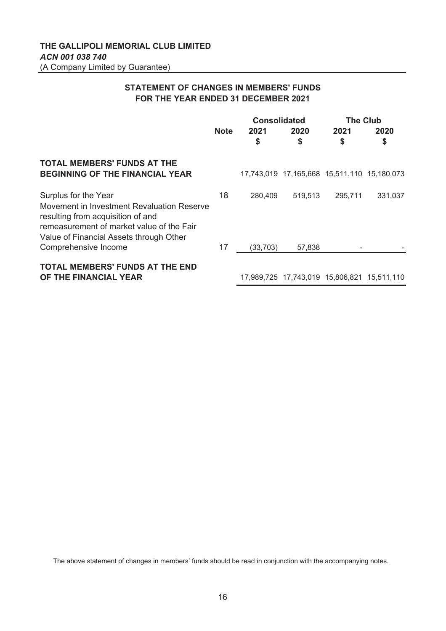# **STATEMENT OF CHANGES IN MEMBERS' FUNDS FOR THE YEAR ENDED 31 DECEMBER 2021**

|                                                                                                                                                                                                 |             | <b>Consolidated</b> |                                             | <b>The Club</b> |         |
|-------------------------------------------------------------------------------------------------------------------------------------------------------------------------------------------------|-------------|---------------------|---------------------------------------------|-----------------|---------|
|                                                                                                                                                                                                 | <b>Note</b> | 2021                | 2020                                        | 2021            | 2020    |
|                                                                                                                                                                                                 |             | \$                  | \$                                          | \$              | \$      |
| <b>TOTAL MEMBERS' FUNDS AT THE</b><br><b>BEGINNING OF THE FINANCIAL YEAR</b>                                                                                                                    |             |                     | 17,743,019 17,165,668 15,511,110 15,180,073 |                 |         |
| Surplus for the Year<br>Movement in Investment Revaluation Reserve<br>resulting from acquisition of and<br>remeasurement of market value of the Fair<br>Value of Financial Assets through Other | 18          | 280,409             | 519.513                                     | 295,711         | 331,037 |
| Comprehensive Income                                                                                                                                                                            | 17          | (33, 703)           | 57,838                                      |                 |         |
| <b>TOTAL MEMBERS' FUNDS AT THE END</b><br>OF THE FINANCIAL YEAR                                                                                                                                 |             |                     | 17,989,725 17,743,019 15,806,821 15,511,110 |                 |         |

The above statement of changes in members' funds should be read in conjunction with the accompanying notes.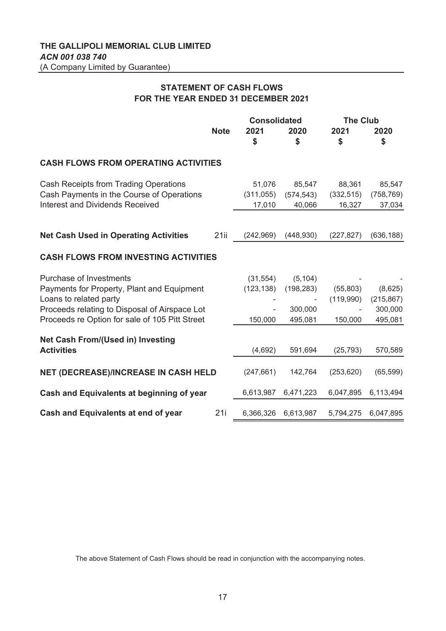# **STATEMENT OF CASH FLOWS FOR THE YEAR ENDED 31 DECEMBER 2021**

|                                                |             | <b>Consolidated</b> |            | <b>The Club</b> |            |
|------------------------------------------------|-------------|---------------------|------------|-----------------|------------|
|                                                | <b>Note</b> | 2021                | 2020       | 2021            | 2020       |
|                                                |             | \$                  | \$         | \$              | \$         |
| <b>CASH FLOWS FROM OPERATING ACTIVITIES</b>    |             |                     |            |                 |            |
| Cash Receipts from Trading Operations          |             | 51,076              | 85,547     | 88,361          | 85,547     |
| Cash Payments in the Course of Operations      |             | (311, 055)          | (574, 543) | (332, 515)      | (758, 769) |
| <b>Interest and Dividends Received</b>         |             | 17,010              | 40,066     | 16,327          | 37,034     |
|                                                |             |                     |            |                 |            |
| <b>Net Cash Used in Operating Activities</b>   | 21ii        | (242, 969)          | (448, 930) | (227, 827)      | (636, 188) |
| <b>CASH FLOWS FROM INVESTING ACTIVITIES</b>    |             |                     |            |                 |            |
| Purchase of Investments                        |             | (31, 554)           | (5, 104)   |                 |            |
| Payments for Property, Plant and Equipment     |             | (123, 138)          | (198, 283) | (55,803)        | (8,625)    |
| Loans to related party                         |             |                     |            | (119,990)       | (215, 867) |
| Proceeds relating to Disposal of Airspace Lot  |             |                     | 300,000    |                 | 300,000    |
| Proceeds re Option for sale of 105 Pitt Street |             | 150,000             | 495,081    | 150,000         | 495,081    |
| <b>Net Cash From/(Used in) Investing</b>       |             |                     |            |                 |            |
| <b>Activities</b>                              |             | (4,692)             | 591,694    | (25, 793)       | 570,589    |
| NET (DECREASE)/INCREASE IN CASH HELD           |             | (247, 661)          | 142,764    | (253, 620)      | (65, 599)  |
| Cash and Equivalents at beginning of year      |             | 6,613,987           | 6,471,223  | 6,047,895       | 6,113,494  |
| Cash and Equivalents at end of year            | 21i         | 6,366,326           | 6,613,987  | 5,794,275       | 6,047,895  |

The above Statement of Cash Flows should be read in conjunction with the accompanying notes.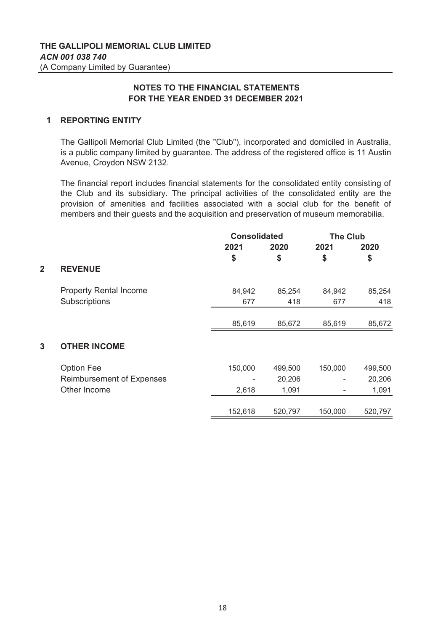## **1 REPORTING ENTITY**

The Gallipoli Memorial Club Limited (the "Club"), incorporated and domiciled in Australia, is a public company limited by guarantee. The address of the registered office is 11 Austin Avenue, Croydon NSW 2132.

The financial report includes financial statements for the consolidated entity consisting of the Club and its subsidiary. The principal activities of the consolidated entity are the provision of amenities and facilities associated with a social club for the benefit of members and their guests and the acquisition and preservation of museum memorabilia.

|                |                                  |         | <b>Consolidated</b> |         | <b>The Club</b> |
|----------------|----------------------------------|---------|---------------------|---------|-----------------|
|                |                                  | 2021    | 2020                | 2021    | 2020            |
|                |                                  | \$      | \$                  | \$      | \$              |
| $\overline{2}$ | <b>REVENUE</b>                   |         |                     |         |                 |
|                | <b>Property Rental Income</b>    | 84,942  | 85,254              | 84,942  | 85,254          |
|                | Subscriptions                    | 677     | 418                 | 677     | 418             |
|                |                                  |         |                     |         |                 |
|                |                                  | 85,619  | 85,672              | 85,619  | 85,672          |
| 3              | <b>OTHER INCOME</b>              |         |                     |         |                 |
|                | <b>Option Fee</b>                | 150,000 | 499,500             | 150,000 | 499,500         |
|                | <b>Reimbursement of Expenses</b> |         | 20,206              |         | 20,206          |
|                | Other Income                     | 2,618   | 1,091               | ٠       | 1,091           |
|                |                                  | 152,618 | 520,797             | 150,000 | 520,797         |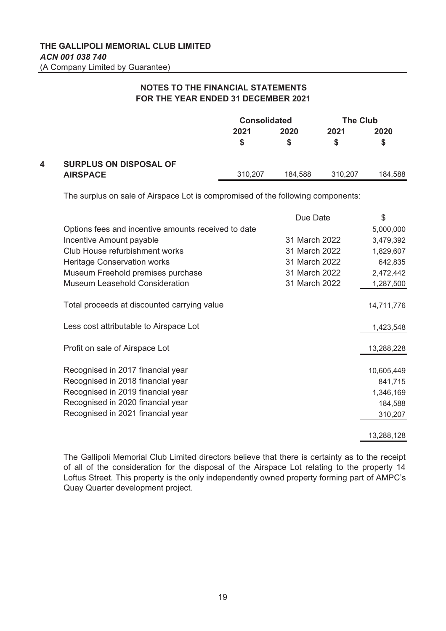|   |                               | <b>Consolidated</b> |         | <b>The Club</b> |           |
|---|-------------------------------|---------------------|---------|-----------------|-----------|
|   |                               | 2021                | 2020    | 2021            | 2020<br>S |
| 4 | <b>SURPLUS ON DISPOSAL OF</b> |                     |         |                 |           |
|   | <b>AIRSPACE</b>               | 310.207             | 184.588 | 310.207         | 184,588   |

The surplus on sale of Airspace Lot is compromised of the following components:

|                                                     | Due Date      | \$         |
|-----------------------------------------------------|---------------|------------|
| Options fees and incentive amounts received to date |               | 5,000,000  |
| Incentive Amount payable                            | 31 March 2022 | 3,479,392  |
| Club House refurbishment works                      | 31 March 2022 | 1,829,607  |
| Heritage Conservation works                         | 31 March 2022 | 642,835    |
| Museum Freehold premises purchase                   | 31 March 2022 | 2,472,442  |
| <b>Museum Leasehold Consideration</b>               | 31 March 2022 | 1,287,500  |
| Total proceeds at discounted carrying value         |               | 14,711,776 |
| Less cost attributable to Airspace Lot              |               | 1,423,548  |
| Profit on sale of Airspace Lot                      |               | 13,288,228 |
| Recognised in 2017 financial year                   |               | 10,605,449 |
| Recognised in 2018 financial year                   |               | 841,715    |
| Recognised in 2019 financial year                   |               | 1,346,169  |
| Recognised in 2020 financial year                   |               | 184,588    |
| Recognised in 2021 financial year                   |               | 310,207    |
|                                                     |               | 13,288,128 |

The Gallipoli Memorial Club Limited directors believe that there is certainty as to the receipt of all of the consideration for the disposal of the Airspace Lot relating to the property 14 Loftus Street. This property is the only independently owned property forming part of AMPC's Quay Quarter development project.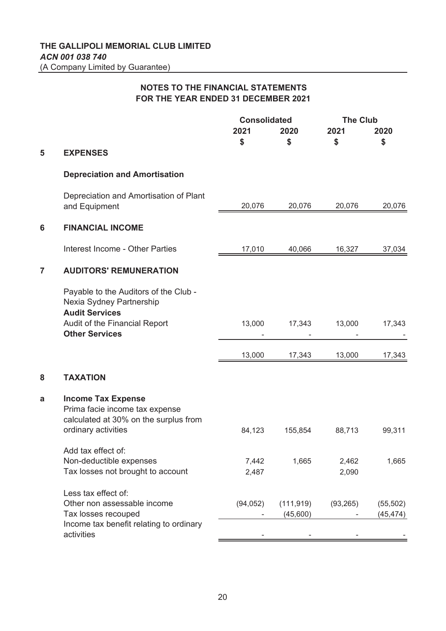|   |                                                                                                                             | <b>Consolidated</b> |            | <b>The Club</b> |           |
|---|-----------------------------------------------------------------------------------------------------------------------------|---------------------|------------|-----------------|-----------|
|   |                                                                                                                             | 2021                | 2020       | 2021            | 2020      |
|   |                                                                                                                             | \$                  | \$         | \$              | \$        |
| 5 | <b>EXPENSES</b>                                                                                                             |                     |            |                 |           |
|   | <b>Depreciation and Amortisation</b>                                                                                        |                     |            |                 |           |
|   | Depreciation and Amortisation of Plant<br>and Equipment                                                                     | 20,076              | 20,076     | 20,076          | 20,076    |
| 6 | <b>FINANCIAL INCOME</b>                                                                                                     |                     |            |                 |           |
|   | <b>Interest Income - Other Parties</b>                                                                                      | 17,010              | 40,066     | 16,327          | 37,034    |
| 7 | <b>AUDITORS' REMUNERATION</b>                                                                                               |                     |            |                 |           |
|   | Payable to the Auditors of the Club -<br>Nexia Sydney Partnership<br><b>Audit Services</b>                                  |                     |            |                 |           |
|   | Audit of the Financial Report<br><b>Other Services</b>                                                                      | 13,000              | 17,343     | 13,000          | 17,343    |
|   |                                                                                                                             | 13,000              | 17,343     | 13,000          | 17,343    |
| 8 | <b>TAXATION</b>                                                                                                             |                     |            |                 |           |
| a | <b>Income Tax Expense</b><br>Prima facie income tax expense<br>calculated at 30% on the surplus from<br>ordinary activities | 84,123              | 155,854    | 88,713          | 99,311    |
|   | Add tax effect of:                                                                                                          |                     |            |                 |           |
|   | Non-deductible expenses                                                                                                     | 7,442               | 1,665      | 2,462           | 1,665     |
|   | Tax losses not brought to account                                                                                           | 2,487               |            | 2,090           |           |
|   | Less tax effect of:                                                                                                         |                     |            |                 |           |
|   | Other non assessable income                                                                                                 | (94, 052)           | (111, 919) | (93, 265)       | (55, 502) |
|   | Tax losses recouped                                                                                                         |                     | (45,600)   |                 | (45, 474) |
|   | Income tax benefit relating to ordinary<br>activities                                                                       |                     |            |                 |           |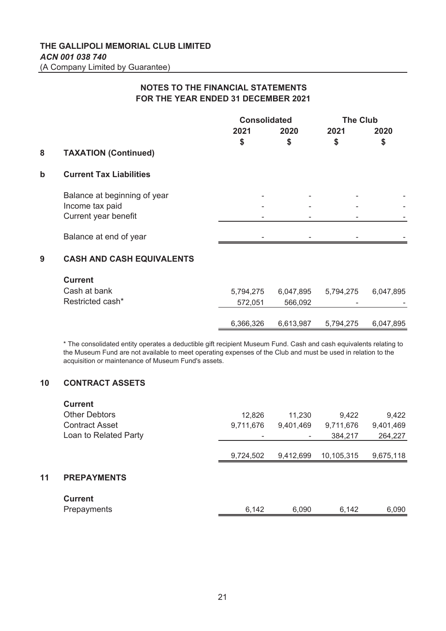|             |                                  | <b>Consolidated</b> |      |      | <b>The Club</b> |
|-------------|----------------------------------|---------------------|------|------|-----------------|
|             |                                  | 2021                | 2020 | 2021 | 2020            |
|             |                                  | \$                  | \$   | \$   | \$              |
| 8           | <b>TAXATION (Continued)</b>      |                     |      |      |                 |
| $\mathbf b$ | <b>Current Tax Liabilities</b>   |                     |      |      |                 |
|             | Balance at beginning of year     |                     |      |      |                 |
|             | Income tax paid                  |                     |      |      |                 |
|             | Current year benefit             |                     |      |      |                 |
|             | Balance at end of year           |                     |      |      |                 |
| 9           | <b>CASH AND CASH EQUIVALENTS</b> |                     |      |      |                 |

### **Current**

| <b>UULLEIIL</b>  |           |           |                          |           |
|------------------|-----------|-----------|--------------------------|-----------|
| Cash at bank     | 5.794.275 | 6.047.895 | 5.794.275                | 6,047,895 |
| Restricted cash* | 572.051   | 566.092   | $\overline{\phantom{0}}$ |           |
|                  |           |           |                          |           |
|                  | 6,366,326 | 6,613,987 | 5,794,275                | 6,047,895 |

\* The consolidated entity operates a deductible gift recipient Museum Fund. Cash and cash equivalents relating to the Museum Fund are not available to meet operating expenses of the Club and must be used in relation to the acquisition or maintenance of Museum Fund's assets.

# **10 CONTRACT ASSETS**

| 9,422     |
|-----------|
|           |
| 9,401,469 |
| 264,227   |
|           |
| 9,675,118 |
|           |
|           |
| 6,090     |
|           |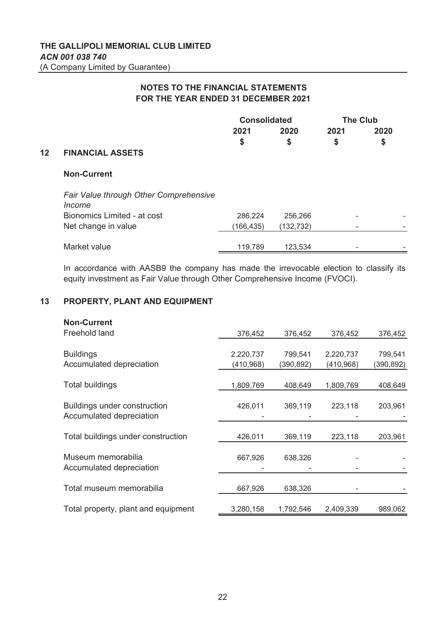|    |                                                  | <b>Consolidated</b> |            | <b>The Club</b> |      |  |  |
|----|--------------------------------------------------|---------------------|------------|-----------------|------|--|--|
|    |                                                  | 2021                | 2020       | 2021            | 2020 |  |  |
|    |                                                  | \$                  | \$         | \$              | \$   |  |  |
| 12 | <b>FINANCIAL ASSETS</b>                          |                     |            |                 |      |  |  |
|    | <b>Non-Current</b>                               |                     |            |                 |      |  |  |
|    | Fair Value through Other Comprehensive<br>Income |                     |            |                 |      |  |  |
|    | Bionomics Limited - at cost                      | 286,224             | 256,266    | ٠               |      |  |  |
|    | Net change in value                              | (166, 435)          | (132, 732) |                 |      |  |  |
|    | Market value                                     | 119.789             | 123,534    |                 |      |  |  |
|    |                                                  |                     |            |                 |      |  |  |

In accordance with AASB9 the company has made the irrevocable election to classify its equity investment as Fair Value through Other Comprehensive Income (FVOCI).

#### **13 PROPERTY, PLANT AND EQUIPMENT**

| <b>Non-Current</b>                  |            |            |            |            |
|-------------------------------------|------------|------------|------------|------------|
| Freehold land                       | 376,452    | 376,452    | 376,452    | 376,452    |
|                                     |            |            |            |            |
| <b>Buildings</b>                    | 2,220,737  | 799,541    | 2,220,737  | 799,541    |
| Accumulated depreciation            | (410, 968) | (390, 892) | (410, 968) | (390, 892) |
|                                     |            |            |            |            |
| Total buildings                     | 1,809,769  | 408,649    | 1,809,769  | 408,649    |
|                                     |            |            |            |            |
| <b>Buildings under construction</b> | 426,011    | 369,119    | 223,118    | 203,961    |
| Accumulated depreciation            |            |            |            |            |
|                                     |            |            |            |            |
| Total buildings under construction  | 426,011    | 369,119    | 223,118    | 203,961    |
|                                     |            |            |            |            |
| Museum memorabilia                  | 667,926    | 638,326    |            |            |
| Accumulated depreciation            |            |            |            |            |
|                                     |            |            |            |            |
| Total museum memorabilia            | 667,926    | 638,326    |            |            |
|                                     |            |            |            |            |
| Total property, plant and equipment | 3,280,158  | 1,792,546  | 2,409,339  | 989,062    |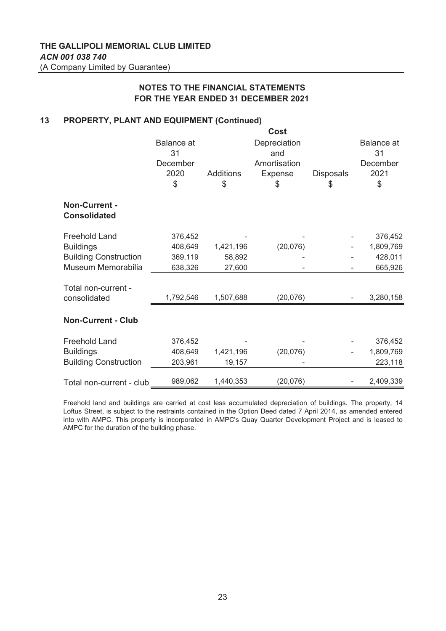#### **13 PROPERTY, PLANT AND EQUIPMENT (Continued)**

|                                      |                                                   |                        | Cost                                                        |                       |                                            |
|--------------------------------------|---------------------------------------------------|------------------------|-------------------------------------------------------------|-----------------------|--------------------------------------------|
|                                      | <b>Balance</b> at<br>31<br>December<br>2020<br>\$ | <b>Additions</b><br>\$ | Depreciation<br>and<br>Amortisation<br><b>Expense</b><br>\$ | <b>Disposals</b><br>S | Balance at<br>31<br>December<br>2021<br>\$ |
| Non-Current -<br><b>Consolidated</b> |                                                   |                        |                                                             |                       |                                            |
| <b>Freehold Land</b>                 | 376,452                                           |                        |                                                             |                       | 376,452                                    |
| <b>Buildings</b>                     | 408,649                                           | 1,421,196              | (20, 076)                                                   |                       | 1,809,769                                  |
| <b>Building Construction</b>         | 369,119                                           | 58,892                 |                                                             |                       | 428,011                                    |
| Museum Memorabilia                   | 638,326                                           | 27,600                 |                                                             |                       | 665,926                                    |
| Total non-current -<br>consolidated  | 1,792,546                                         | 1,507,688              | (20, 076)                                                   |                       | 3,280,158                                  |
| <b>Non-Current - Club</b>            |                                                   |                        |                                                             |                       |                                            |
| <b>Freehold Land</b>                 | 376,452                                           |                        |                                                             |                       | 376,452                                    |
| <b>Buildings</b>                     | 408,649                                           | 1,421,196              | (20, 076)                                                   |                       | 1,809,769                                  |
| <b>Building Construction</b>         | 203,961                                           | 19,157                 |                                                             |                       | 223,118                                    |
| Total non-current - club             | 989,062                                           | 1,440,353              | (20, 076)                                                   |                       | 2,409,339                                  |

Freehold land and buildings are carried at cost less accumulated depreciation of buildings. The property, 14 Loftus Street, is subject to the restraints contained in the Option Deed dated 7 April 2014, as amended entered into with AMPC. This property is incorporated in AMPC's Quay Quarter Development Project and is leased to AMPC for the duration of the building phase.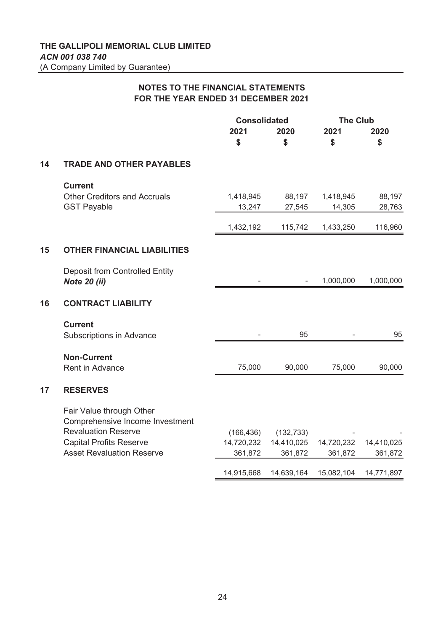|    |                                                                                                                                                                 | <b>Consolidated</b>                 |                                     | <b>The Club</b>       |                       |
|----|-----------------------------------------------------------------------------------------------------------------------------------------------------------------|-------------------------------------|-------------------------------------|-----------------------|-----------------------|
|    |                                                                                                                                                                 | 2021<br>\$                          | 2020<br>\$                          | 2021<br>\$            | 2020<br>\$            |
| 14 | <b>TRADE AND OTHER PAYABLES</b>                                                                                                                                 |                                     |                                     |                       |                       |
|    | <b>Current</b><br><b>Other Creditors and Accruals</b><br><b>GST Payable</b>                                                                                     | 1,418,945<br>13,247                 | 88,197<br>27,545                    | 1,418,945<br>14,305   | 88,197<br>28,763      |
|    |                                                                                                                                                                 | 1,432,192                           | 115,742                             | 1,433,250             | 116,960               |
| 15 | <b>OTHER FINANCIAL LIABILITIES</b>                                                                                                                              |                                     |                                     |                       |                       |
|    | <b>Deposit from Controlled Entity</b><br><b>Note 20 (ii)</b>                                                                                                    |                                     |                                     | 1,000,000             | 1,000,000             |
| 16 | <b>CONTRACT LIABILITY</b>                                                                                                                                       |                                     |                                     |                       |                       |
|    | <b>Current</b><br>Subscriptions in Advance                                                                                                                      |                                     | 95                                  |                       | 95                    |
|    | <b>Non-Current</b><br><b>Rent in Advance</b>                                                                                                                    | 75,000                              | 90,000                              | 75,000                | 90,000                |
| 17 | <b>RESERVES</b>                                                                                                                                                 |                                     |                                     |                       |                       |
|    | Fair Value through Other<br>Comprehensive Income Investment<br><b>Revaluation Reserve</b><br><b>Capital Profits Reserve</b><br><b>Asset Revaluation Reserve</b> | (166, 436)<br>14,720,232<br>361,872 | (132, 733)<br>14,410,025<br>361,872 | 14,720,232<br>361,872 | 14,410,025<br>361,872 |
|    |                                                                                                                                                                 | 14,915,668                          | 14,639,164                          | 15,082,104            | 14,771,897            |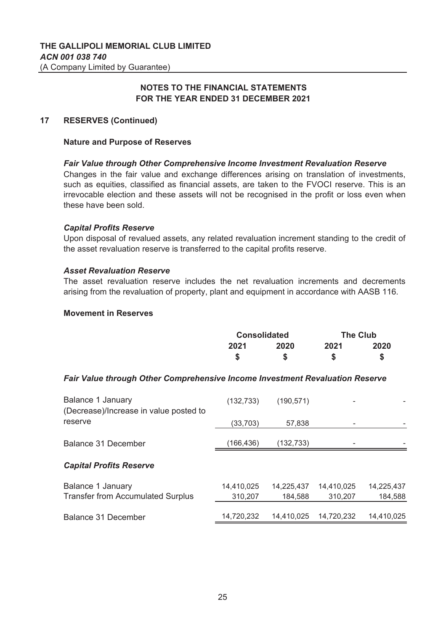# **17 RESERVES (Continued)**

### **Nature and Purpose of Reserves**

## *Fair Value through Other Comprehensive Income Investment Revaluation Reserve*

Changes in the fair value and exchange differences arising on translation of investments, such as equities, classified as financial assets, are taken to the FVOCI reserve. This is an irrevocable election and these assets will not be recognised in the profit or loss even when these have been sold.

### *Capital Profits Reserve*

Upon disposal of revalued assets, any related revaluation increment standing to the credit of the asset revaluation reserve is transferred to the capital profits reserve.

### *Asset Revaluation Reserve*

The asset revaluation reserve includes the net revaluation increments and decrements arising from the revaluation of property, plant and equipment in accordance with AASB 116.

### **Movement in Reserves**

| <b>Consolidated</b> |      | <b>The Club</b> |      |
|---------------------|------|-----------------|------|
| 2021                | 2020 | 2021            | 2020 |
|                     | S    | S               |      |

## *Fair Value through Other Comprehensive Income Investment Revaluation Reserve*

| (132, 733) | (190, 571) |            |            |
|------------|------------|------------|------------|
| (33,703)   | 57,838     |            |            |
| (166,436)  | (132,733)  |            |            |
|            |            |            |            |
| 14,410,025 | 14,225,437 | 14,410,025 | 14,225,437 |
| 310,207    | 184,588    | 310,207    | 184,588    |
| 14,720,232 | 14,410,025 | 14,720,232 | 14,410,025 |
|            |            |            |            |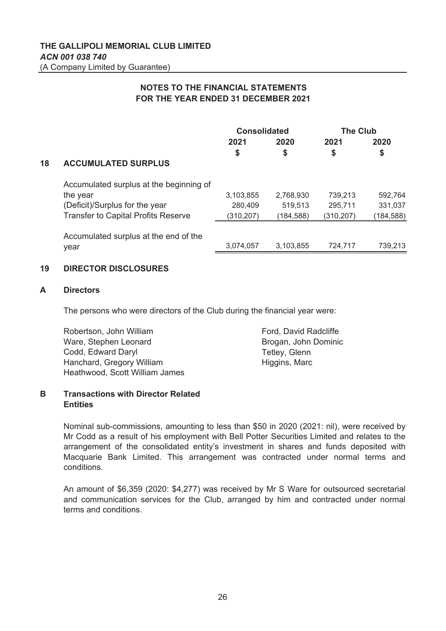|    |                                            | <b>Consolidated</b> |            | <b>The Club</b> |            |
|----|--------------------------------------------|---------------------|------------|-----------------|------------|
|    |                                            | 2021                | 2020       | 2021            | 2020       |
|    |                                            | \$                  | \$         | \$              | \$         |
| 18 | <b>ACCUMULATED SURPLUS</b>                 |                     |            |                 |            |
|    | Accumulated surplus at the beginning of    |                     |            |                 |            |
|    | the year                                   | 3,103,855           | 2,768,930  | 739.213         | 592,764    |
|    | (Deficit)/Surplus for the year             | 280,409             | 519,513    | 295.711         | 331,037    |
|    | <b>Transfer to Capital Profits Reserve</b> | (310, 207)          | (184, 588) | (310, 207)      | (184, 588) |
|    | Accumulated surplus at the end of the      |                     |            |                 |            |
|    | year                                       | 3,074,057           | 3,103,855  | 724,717         | 739,213    |

# **19 DIRECTOR DISCLOSURES**

## **A Directors**

The persons who were directors of the Club during the financial year were:

| Robertson, John William        | Ford, David Radcliffe |
|--------------------------------|-----------------------|
| Ware, Stephen Leonard          | Brogan, John Dominic  |
| Codd, Edward Daryl             | Tetley, Glenn         |
| Hanchard, Gregory William      | Higgins, Marc         |
| Heathwood, Scott William James |                       |

## **B Transactions with Director Related Entities**

Nominal sub-commissions, amounting to less than \$50 in 2020 (2021: nil), were received by Mr Codd as a result of his employment with Bell Potter Securities Limited and relates to the arrangement of the consolidated entity's investment in shares and funds deposited with Macquarie Bank Limited. This arrangement was contracted under normal terms and conditions.

An amount of \$6,359 (2020: \$4,277) was received by Mr S Ware for outsourced secretarial and communication services for the Club, arranged by him and contracted under normal terms and conditions.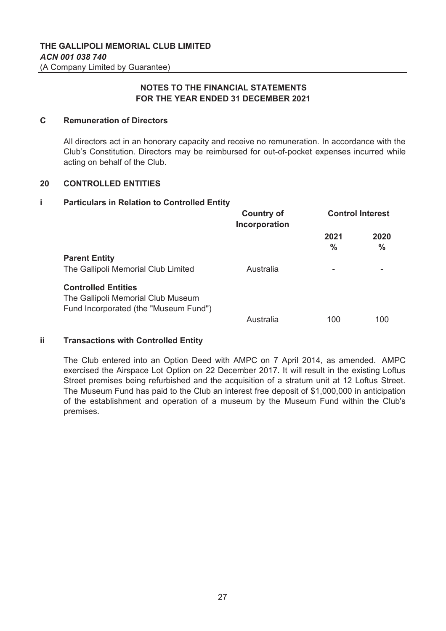### **C Remuneration of Directors**

All directors act in an honorary capacity and receive no remuneration. In accordance with the Club's Constitution. Directors may be reimbursed for out-of-pocket expenses incurred while acting on behalf of the Club.

#### **20 CONTROLLED ENTITIES**

#### **i Particulars in Relation to Controlled Entity**

|                                                                                                           | <b>Country of</b><br>Incorporation | <b>Control Interest</b> |                       |  |
|-----------------------------------------------------------------------------------------------------------|------------------------------------|-------------------------|-----------------------|--|
|                                                                                                           |                                    | 2021<br>$\frac{0}{0}$   | 2020<br>$\frac{0}{0}$ |  |
| <b>Parent Entity</b>                                                                                      |                                    |                         |                       |  |
| The Gallipoli Memorial Club Limited                                                                       | Australia                          |                         |                       |  |
| <b>Controlled Entities</b><br>The Gallipoli Memorial Club Museum<br>Fund Incorporated (the "Museum Fund") |                                    |                         |                       |  |
|                                                                                                           | Australia                          | 100                     | 100                   |  |

## **ii Transactions with Controlled Entity**

The Club entered into an Option Deed with AMPC on 7 April 2014, as amended. AMPC exercised the Airspace Lot Option on 22 December 2017. It will result in the existing Loftus Street premises being refurbished and the acquisition of a stratum unit at 12 Loftus Street. The Museum Fund has paid to the Club an interest free deposit of \$1,000,000 in anticipation of the establishment and operation of a museum by the Museum Fund within the Club's premises.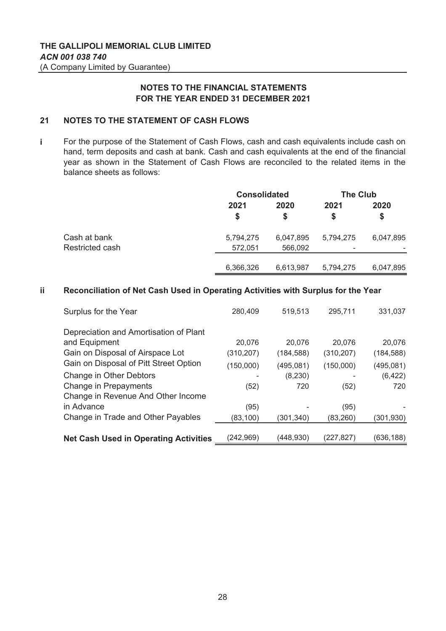#### **21 NOTES TO THE STATEMENT OF CASH FLOWS**

**i** For the purpose of the Statement of Cash Flows, cash and cash equivalents include cash on hand, term deposits and cash at bank. Cash and cash equivalents at the end of the financial year as shown in the Statement of Cash Flows are reconciled to the related items in the balance sheets as follows:

|                 |            | <b>Consolidated</b> |            | <b>The Club</b> |
|-----------------|------------|---------------------|------------|-----------------|
|                 | 2021<br>\$ | 2020<br>S           | 2021<br>\$ | 2020<br>S       |
| Cash at bank    | 5,794,275  | 6,047,895           | 5,794,275  | 6,047,895       |
| Restricted cash | 572,051    | 566,092             | -          |                 |
|                 | 6,366,326  | 6,613,987           | 5,794,275  | 6,047,895       |

#### **ii Reconciliation of Net Cash Used in Operating Activities with Surplus for the Year**

| Surplus for the Year                         | 280,409    | 519,513    | 295,711    | 331,037    |
|----------------------------------------------|------------|------------|------------|------------|
| Depreciation and Amortisation of Plant       |            |            |            |            |
| and Equipment                                | 20,076     | 20,076     | 20,076     | 20,076     |
| Gain on Disposal of Airspace Lot             | (310, 207) | (184, 588) | (310, 207) | (184, 588) |
| Gain on Disposal of Pitt Street Option       | (150,000)  | (495, 081) | (150,000)  | (495, 081) |
| Change in Other Debtors                      |            | (8, 230)   |            | (6, 422)   |
| Change in Prepayments                        | (52)       | 720        | (52)       | 720        |
| Change in Revenue And Other Income           |            |            |            |            |
| in Advance                                   | (95)       |            | (95)       |            |
| Change in Trade and Other Payables           | (83, 100)  | (301,340)  | (83, 260)  | (301, 930) |
|                                              |            |            |            |            |
| <b>Net Cash Used in Operating Activities</b> | (242, 969) | (448, 930) | (227,827)  | (636, 188) |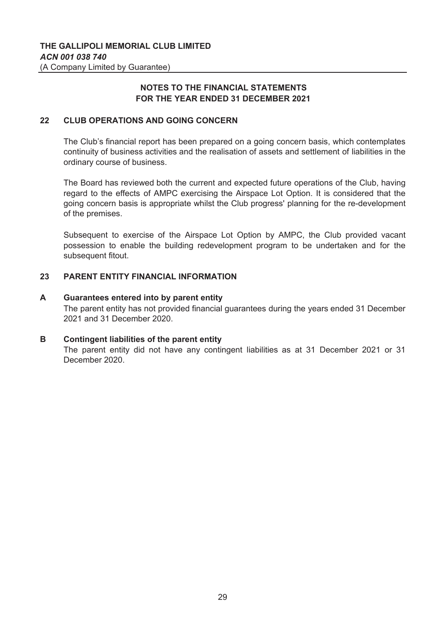#### **22 CLUB OPERATIONS AND GOING CONCERN**

The Club's financial report has been prepared on a going concern basis, which contemplates continuity of business activities and the realisation of assets and settlement of liabilities in the ordinary course of business.

The Board has reviewed both the current and expected future operations of the Club, having regard to the effects of AMPC exercising the Airspace Lot Option. It is considered that the going concern basis is appropriate whilst the Club progress' planning for the re-development of the premises.

Subsequent to exercise of the Airspace Lot Option by AMPC, the Club provided vacant possession to enable the building redevelopment program to be undertaken and for the subsequent fitout.

#### **23 PARENT ENTITY FINANCIAL INFORMATION**

#### **A** The parent entity has not provided financial guarantees during the years ended 31 December 2021 and 31 December 2020. **Guarantees entered into by parent entity**

#### **B Contingent liabilities of the parent entity**

The parent entity did not have any contingent liabilities as at 31 December 2021 or 31 December 2020.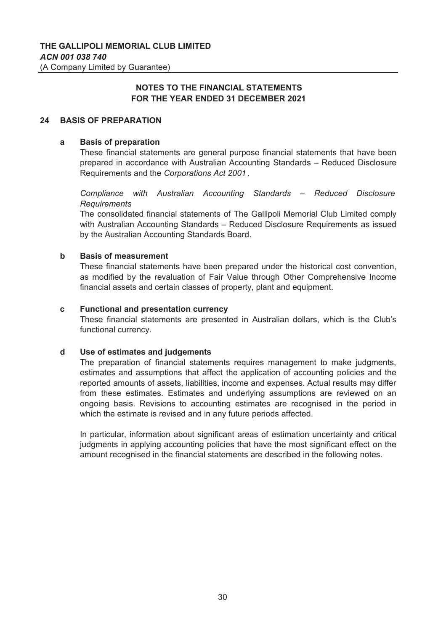## **24 BASIS OF PREPARATION**

#### **a Basis of preparation**

These financial statements are general purpose financial statements that have been prepared in accordance with Australian Accounting Standards – Reduced Disclosure Requirements and the *Corporations Act 2001* .

*Compliance with Australian Accounting Standards – Reduced Disclosure Requirements*

The consolidated financial statements of The Gallipoli Memorial Club Limited comply with Australian Accounting Standards – Reduced Disclosure Requirements as issued by the Australian Accounting Standards Board.

#### **b Basis of measurement**

These financial statements have been prepared under the historical cost convention, as modified by the revaluation of Fair Value through Other Comprehensive Income financial assets and certain classes of property, plant and equipment.

#### **c Functional and presentation currency**

These financial statements are presented in Australian dollars, which is the Club's functional currency.

#### **d Use of estimates and judgements**

The preparation of financial statements requires management to make judgments, estimates and assumptions that affect the application of accounting policies and the reported amounts of assets, liabilities, income and expenses. Actual results may differ from these estimates. Estimates and underlying assumptions are reviewed on an ongoing basis. Revisions to accounting estimates are recognised in the period in which the estimate is revised and in any future periods affected.

In particular, information about significant areas of estimation uncertainty and critical judgments in applying accounting policies that have the most significant effect on the amount recognised in the financial statements are described in the following notes.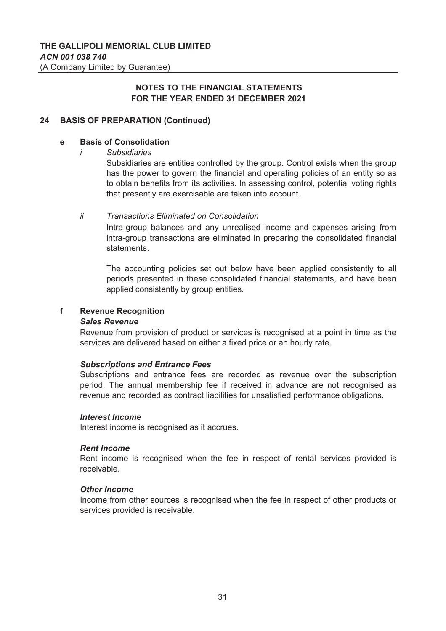# **24 BASIS OF PREPARATION (Continued)**

#### **e Basis of Consolidation**

*i Subsidiaries*

Subsidiaries are entities controlled by the group. Control exists when the group has the power to govern the financial and operating policies of an entity so as to obtain benefits from its activities. In assessing control, potential voting rights that presently are exercisable are taken into account.

#### *ii Transactions Eliminated on Consolidation*

Intra-group balances and any unrealised income and expenses arising from intra-group transactions are eliminated in preparing the consolidated financial statements.

The accounting policies set out below have been applied consistently to all periods presented in these consolidated financial statements, and have been applied consistently by group entities.

#### **f Revenue Recognition**

### *Sales Revenue*

Revenue from provision of product or services is recognised at a point in time as the services are delivered based on either a fixed price or an hourly rate.

### *Subscriptions and Entrance Fees*

Subscriptions and entrance fees are recorded as revenue over the subscription period. The annual membership fee if received in advance are not recognised as revenue and recorded as contract liabilities for unsatisfied performance obligations.

### *Interest Income*

Interest income is recognised as it accrues.

### *Rent Income*

Rent income is recognised when the fee in respect of rental services provided is receivable.

### *Other Income*

Income from other sources is recognised when the fee in respect of other products or services provided is receivable.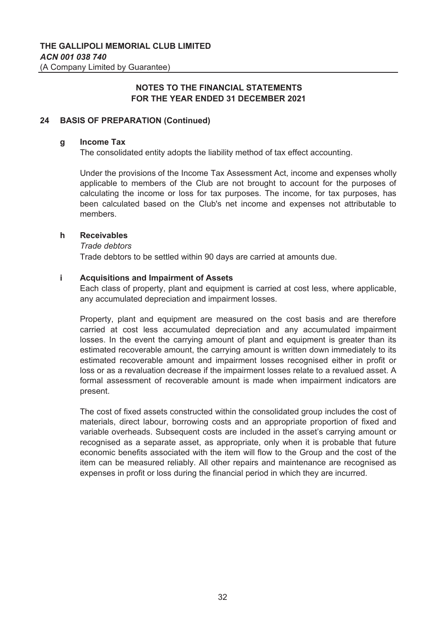#### **24 BASIS OF PREPARATION (Continued)**

#### **g Income Tax**

The consolidated entity adopts the liability method of tax effect accounting.

Under the provisions of the Income Tax Assessment Act, income and expenses wholly applicable to members of the Club are not brought to account for the purposes of calculating the income or loss for tax purposes. The income, for tax purposes, has been calculated based on the Club's net income and expenses not attributable to members.

#### **h Receivables**

*Trade debtors*

Trade debtors to be settled within 90 days are carried at amounts due.

#### **i Acquisitions and Impairment of Assets**

Each class of property, plant and equipment is carried at cost less, where applicable, any accumulated depreciation and impairment losses.

Property, plant and equipment are measured on the cost basis and are therefore carried at cost less accumulated depreciation and any accumulated impairment losses. In the event the carrying amount of plant and equipment is greater than its estimated recoverable amount, the carrying amount is written down immediately to its estimated recoverable amount and impairment losses recognised either in profit or loss or as a revaluation decrease if the impairment losses relate to a revalued asset. A formal assessment of recoverable amount is made when impairment indicators are present.

The cost of fixed assets constructed within the consolidated group includes the cost of materials, direct labour, borrowing costs and an appropriate proportion of fixed and variable overheads. Subsequent costs are included in the asset's carrying amount or recognised as a separate asset, as appropriate, only when it is probable that future economic benefits associated with the item will flow to the Group and the cost of the item can be measured reliably. All other repairs and maintenance are recognised as expenses in profit or loss during the financial period in which they are incurred.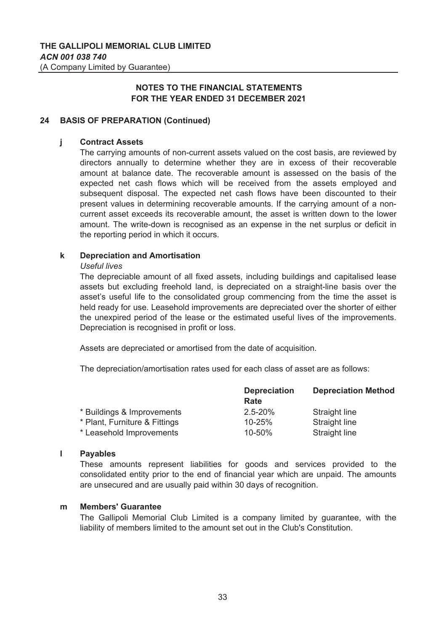## **24 BASIS OF PREPARATION (Continued)**

#### **j Contract Assets**

The carrying amounts of non-current assets valued on the cost basis, are reviewed by directors annually to determine whether they are in excess of their recoverable amount at balance date. The recoverable amount is assessed on the basis of the expected net cash flows which will be received from the assets employed and subsequent disposal. The expected net cash flows have been discounted to their present values in determining recoverable amounts. If the carrying amount of a noncurrent asset exceeds its recoverable amount, the asset is written down to the lower amount. The write-down is recognised as an expense in the net surplus or deficit in the reporting period in which it occurs.

#### **k Depreciation and Amortisation**

#### *Useful lives*

The depreciable amount of all fixed assets, including buildings and capitalised lease assets but excluding freehold land, is depreciated on a straight-line basis over the asset's useful life to the consolidated group commencing from the time the asset is held ready for use. Leasehold improvements are depreciated over the shorter of either the unexpired period of the lease or the estimated useful lives of the improvements. Depreciation is recognised in profit or loss.

Assets are depreciated or amortised from the date of acquisition.

The depreciation/amortisation rates used for each class of asset are as follows:

|                               | <b>Depreciation</b> | <b>Depreciation Method</b> |  |
|-------------------------------|---------------------|----------------------------|--|
|                               | Rate                |                            |  |
| * Buildings & Improvements    | $2.5 - 20%$         | Straight line              |  |
| * Plant, Furniture & Fittings | 10-25%              | Straight line              |  |
| * Leasehold Improvements      | 10-50%              | Straight line              |  |

#### **l Payables**

These amounts represent liabilities for goods and services provided to the consolidated entity prior to the end of financial year which are unpaid. The amounts are unsecured and are usually paid within 30 days of recognition.

#### **m Members' Guarantee**

The Gallipoli Memorial Club Limited is a company limited by guarantee, with the liability of members limited to the amount set out in the Club's Constitution.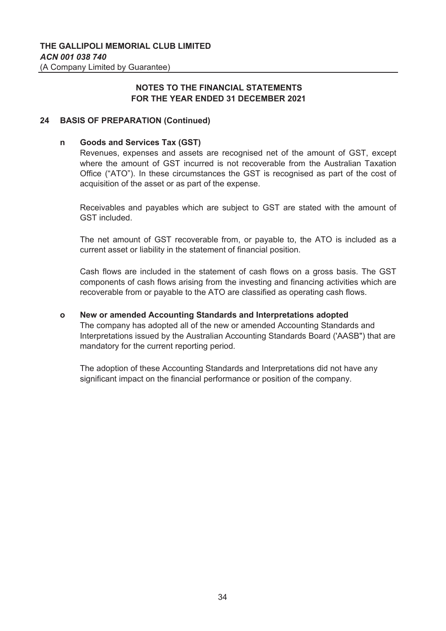## **24 BASIS OF PREPARATION (Continued)**

#### **n Goods and Services Tax (GST)**

Revenues, expenses and assets are recognised net of the amount of GST, except where the amount of GST incurred is not recoverable from the Australian Taxation Office ("ATO"). In these circumstances the GST is recognised as part of the cost of acquisition of the asset or as part of the expense.

Receivables and payables which are subject to GST are stated with the amount of GST included.

The net amount of GST recoverable from, or payable to, the ATO is included as a current asset or liability in the statement of financial position.

Cash flows are included in the statement of cash flows on a gross basis. The GST components of cash flows arising from the investing and financing activities which are recoverable from or payable to the ATO are classified as operating cash flows.

#### **o New or amended Accounting Standards and Interpretations adopted**

The company has adopted all of the new or amended Accounting Standards and Interpretations issued by the Australian Accounting Standards Board ('AASB") that are mandatory for the current reporting period.

The adoption of these Accounting Standards and Interpretations did not have any significant impact on the financial performance or position of the company.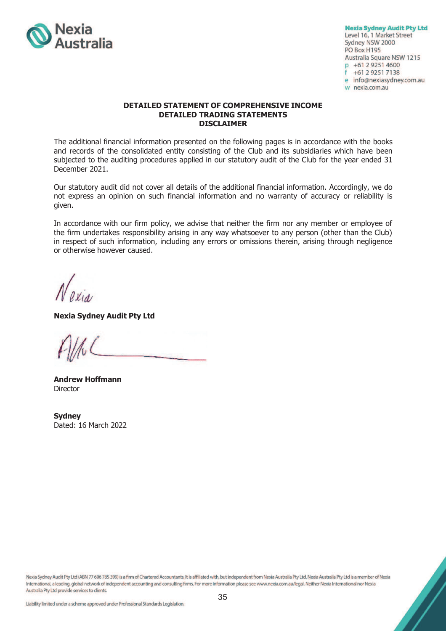

**Nexia Sydney Audit Pty Ltd** Level 16, 1 Market Street Sydney NSW 2000 PO Box H195 Australia Square NSW 1215 p +61 2 9251 4600 +61 2 9251 7138 e info@nexiasydney.com.au w nexia.com.au

#### **DETAILED STATEMENT OF COMPREHENSIVE INCOME DETAILED TRADING STATEMENTS DISCLAIMER**

The additional financial information presented on the following pages is in accordance with the books and records of the consolidated entity consisting of the Club and its subsidiaries which have been subjected to the auditing procedures applied in our statutory audit of the Club for the year ended 31 December 2021.

Our statutory audit did not cover all details of the additional financial information. Accordingly, we do not express an opinion on such financial information and no warranty of accuracy or reliability is given.

In accordance with our firm policy, we advise that neither the firm nor any member or employee of the firm undertakes responsibility arising in any way whatsoever to any person (other than the Club) in respect of such information, including any errors or omissions therein, arising through negligence or otherwise however caused.

**Nexia Sydney Audit Pty Ltd** 

**Andrew Hoffmann Director** 

**Sydney**  Dated: 16 March 2022

Nexia Sydney Audit Pty Ltd (ABN 77 606 785 399) is a firm of Chartered Accountants. It is affiliated with, but independent from Nexia Australia Pty Ltd. Nexia Australia Pty Ltd is a member of Nexia International, a leading, global network of independent accounting and consulting firms. For more information please see www.nexia.com.au/legal. Neither Nexia International nor Nexia Australia Pty Ltd provide services to clients.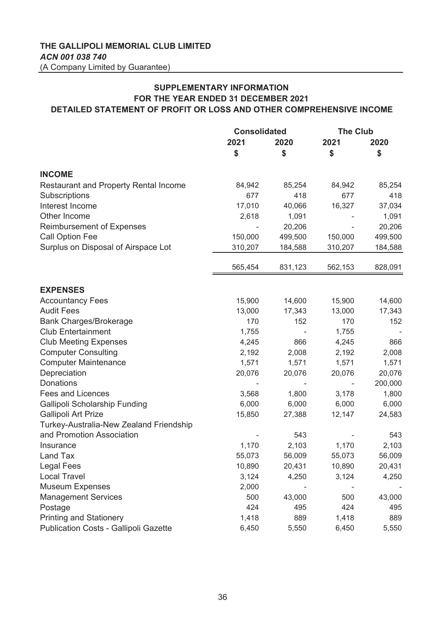# **SUPPLEMENTARY INFORMATION FOR THE YEAR ENDED 31 DECEMBER 2021 DETAILED STATEMENT OF PROFIT OR LOSS AND OTHER COMPREHENSIVE INCOME**

|                                              | <b>Consolidated</b> |         | <b>The Club</b> |         |
|----------------------------------------------|---------------------|---------|-----------------|---------|
|                                              | 2021                | 2020    | 2021            | 2020    |
|                                              | \$                  | \$      | \$              | \$      |
| <b>INCOME</b>                                |                     |         |                 |         |
| <b>Restaurant and Property Rental Income</b> | 84,942              | 85,254  | 84,942          | 85,254  |
| Subscriptions                                | 677                 | 418     | 677             | 418     |
| Interest Income                              | 17,010              | 40,066  | 16,327          | 37,034  |
| Other Income                                 | 2,618               | 1,091   |                 | 1,091   |
| <b>Reimbursement of Expenses</b>             |                     | 20,206  |                 | 20,206  |
| <b>Call Option Fee</b>                       | 150,000             | 499,500 | 150,000         | 499,500 |
| Surplus on Disposal of Airspace Lot          | 310,207             | 184,588 | 310,207         | 184,588 |
|                                              | 565,454             | 831,123 | 562,153         | 828,091 |
| <b>EXPENSES</b>                              |                     |         |                 |         |
| <b>Accountancy Fees</b>                      | 15,900              | 14,600  | 15,900          | 14,600  |
| <b>Audit Fees</b>                            | 13,000              | 17,343  | 13,000          | 17,343  |
| <b>Bank Charges/Brokerage</b>                | 170                 | 152     | 170             | 152     |
| <b>Club Entertainment</b>                    | 1,755               |         | 1,755           |         |
| <b>Club Meeting Expenses</b>                 | 4,245               | 866     | 4,245           | 866     |
| <b>Computer Consulting</b>                   | 2,192               | 2,008   | 2,192           | 2,008   |
| <b>Computer Maintenance</b>                  | 1,571               | 1,571   | 1,571           | 1,571   |
| Depreciation                                 | 20,076              | 20,076  | 20,076          | 20,076  |
| Donations                                    |                     |         |                 | 200,000 |
| <b>Fees and Licences</b>                     | 3,568               | 1,800   | 3,178           | 1,800   |
| Gallipoli Scholarship Funding                | 6,000               | 6,000   | 6,000           | 6,000   |
| <b>Gallipoli Art Prize</b>                   | 15,850              | 27,388  | 12,147          | 24,583  |
| Turkey-Australia-New Zealand Friendship      |                     |         |                 |         |
| and Promotion Association                    |                     | 543     |                 | 543     |
| Insurance                                    | 1,170               | 2,103   | 1,170           | 2,103   |
| Land Tax                                     | 55,073              | 56,009  | 55,073          | 56,009  |
| Legal Fees                                   | 10,890              | 20,431  | 10,890          | 20,431  |
| <b>Local Travel</b>                          | 3,124               | 4,250   | 3,124           | 4,250   |
| <b>Museum Expenses</b>                       | 2,000               |         |                 |         |
| <b>Management Services</b>                   | 500                 | 43,000  | 500             | 43,000  |
| Postage                                      | 424                 | 495     | 424             | 495     |
| <b>Printing and Stationery</b>               | 1,418               | 889     | 1,418           | 889     |
| Publication Costs - Gallipoli Gazette        | 6,450               | 5,550   | 6,450           | 5,550   |